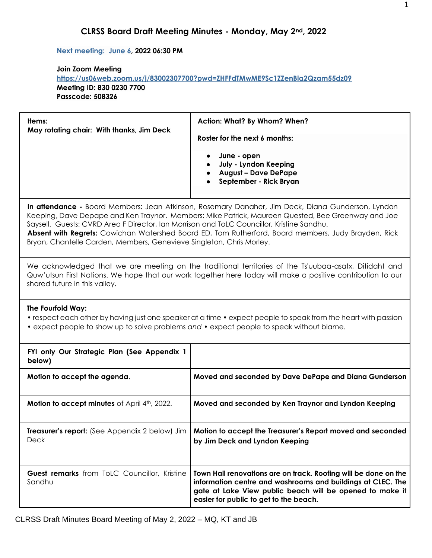#### **Next meeting: June 6, 2022 06:30 PM**

### **Join Zoom Meeting <https://us06web.zoom.us/j/83002307700?pwd=ZHFFdTMwME9Sc1ZZenBla2Qzam55dz09> Meeting ID: 830 0230 7700 Passcode: 508326**

| Items:<br>May rotating chair: With thanks, Jim Deck                                                                                                                                                                                                    | Action: What? By Whom? When?<br>Roster for the next 6 months:<br>June - open<br>July - Lyndon Keeping<br><b>August - Dave DePape</b><br>September - Rick Bryan                                                                                                                                                 |  |  |  |
|--------------------------------------------------------------------------------------------------------------------------------------------------------------------------------------------------------------------------------------------------------|----------------------------------------------------------------------------------------------------------------------------------------------------------------------------------------------------------------------------------------------------------------------------------------------------------------|--|--|--|
| Saysell. Guests: CVRD Area F Director, Ian Morrison and ToLC Councillor, Kristine Sandhu.<br>Bryan, Chantelle Carden, Members, Genevieve Singleton, Chris Morley.                                                                                      | In attendance - Board Members: Jean Atkinson, Rosemary Danaher, Jim Deck, Diana Gunderson, Lyndon<br>Keeping, Dave Depape and Ken Traynor. Members: Mike Patrick, Maureen Quested, Bee Greenway and Joe<br>Absent with Regrets: Cowichan Watershed Board ED, Tom Rutherford, Board members, Judy Brayden, Rick |  |  |  |
| We acknowledged that we are meeting on the traditional territories of the Ts'uubaa-asatx, Ditidaht and<br>Quw'utsun First Nations. We hope that our work together here today will make a positive contribution to our<br>shared future in this valley. |                                                                                                                                                                                                                                                                                                                |  |  |  |
| The Fourfold Way:<br>• expect people to show up to solve problems and • expect people to speak without blame.                                                                                                                                          | • respect each other by having just one speaker at a time • expect people to speak from the heart with passion                                                                                                                                                                                                 |  |  |  |
| FYI only Our Strategic Plan (See Appendix 1<br>below)                                                                                                                                                                                                  |                                                                                                                                                                                                                                                                                                                |  |  |  |
| Motion to accept the agenda.                                                                                                                                                                                                                           | Moved and seconded by Dave DePape and Diana Gunderson                                                                                                                                                                                                                                                          |  |  |  |
| Motion to accept minutes of April 4th, 2022.                                                                                                                                                                                                           | Moved and seconded by Ken Traynor and Lyndon Keeping                                                                                                                                                                                                                                                           |  |  |  |
| Treasurer's report: (See Appendix 2 below) Jim<br>Deck                                                                                                                                                                                                 | Motion to accept the Treasurer's Report moved and seconded<br>by Jim Deck and Lyndon Keeping                                                                                                                                                                                                                   |  |  |  |
| <b>Guest remarks</b> from ToLC Councillor, Kristine<br>Sandhu                                                                                                                                                                                          | Town Hall renovations are on track. Roofing will be done on the<br>information centre and washrooms and buildings at CLEC. The<br>gate at Lake View public beach will be opened to make it<br>easier for public to get to the beach.                                                                           |  |  |  |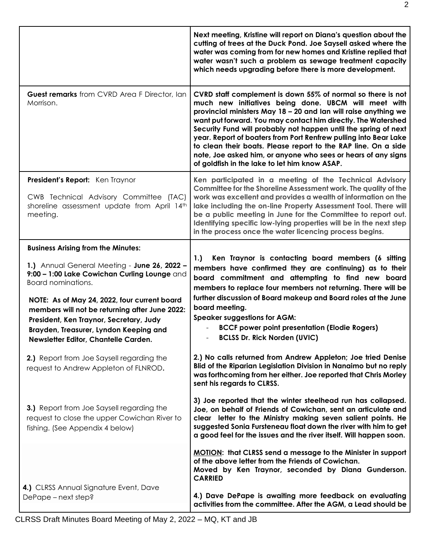|                                                                                                                                                                             | Next meeting, Kristine will report on Diana's question about the<br>cutting of trees at the Duck Pond. Joe Saysell asked where the<br>water was coming from for new homes and Kristine replied that<br>water wasn't such a problem as sewage treatment capacity<br>which needs upgrading before there is more development.                                                                                                                                                                                                                                                         |
|-----------------------------------------------------------------------------------------------------------------------------------------------------------------------------|------------------------------------------------------------------------------------------------------------------------------------------------------------------------------------------------------------------------------------------------------------------------------------------------------------------------------------------------------------------------------------------------------------------------------------------------------------------------------------------------------------------------------------------------------------------------------------|
| Guest remarks from CVRD Area F Director, Ian<br>Morrison.                                                                                                                   | CVRD staff complement is down 55% of normal so there is not<br>much new initiatives being done. UBCM will meet with<br>provincial ministers May 18 - 20 and Ian will raise anything we<br>want put forward. You may contact him directly. The Watershed<br>Security Fund will probably not happen until the spring of next<br>year. Report of boaters from Port Renfrew pulling into Bear Lake<br>to clean their boats. Please report to the RAP line. On a side<br>note, Joe asked him, or anyone who sees or hears of any signs<br>of goldfish in the lake to let him know ASAP. |
| President's Report: Ken Traynor<br>CWB Technical Advisory Committee (TAC)<br>shoreline assessment update from April 14th<br>meeting.                                        | Ken participated in a meeting of the Technical Advisory<br>Committee for the Shoreline Assessment work. The quality of the<br>work was excellent and provides a wealth of information on the<br>lake including the on-line Property Assessment Tool. There will<br>be a public meeting in June for the Committee to report out.<br>Identifying specific low-lying properties will be in the next step<br>in the process once the water licencing process begins.                                                                                                                   |
| <b>Business Arising from the Minutes:</b>                                                                                                                                   |                                                                                                                                                                                                                                                                                                                                                                                                                                                                                                                                                                                    |
| 1.) Annual General Meeting - June 26, 2022 -<br>9:00 - 1:00 Lake Cowichan Curling Lounge and<br>Board nominations.<br>NOTE: As of May 24, 2022, four current board          | Ken Traynor is contacting board members (6 sitting<br>1.<br>members have confirmed they are continuing) as to their<br>board commitment and attempting to find new board<br>members to replace four members not returning. There will be<br>further discussion of Board makeup and Board roles at the June                                                                                                                                                                                                                                                                         |
| members will not be returning after June 2022:<br>President, Ken Traynor, Secretary, Judy<br>Brayden, Treasurer, Lyndon Keeping and<br>Newsletter Editor, Chantelle Carden. | board meeting.<br><b>Speaker suggestions for AGM:</b><br><b>BCCF power point presentation (Elodie Rogers)</b><br><b>BCLSS Dr. Rick Norden (UVIC)</b>                                                                                                                                                                                                                                                                                                                                                                                                                               |
| 2.) Report from Joe Saysell regarding the<br>request to Andrew Appleton of FLNROD.                                                                                          | 2.) No calls returned from Andrew Appleton; Joe tried Denise<br>Blid of the Riparian Legislation Division in Nanaimo but no reply<br>was forthcoming from her either. Joe reported that Chris Morley<br>sent his regards to CLRSS.                                                                                                                                                                                                                                                                                                                                                 |
| 3.) Report from Joe Saysell regarding the<br>request to close the upper Cowichan River to<br>fishing. (See Appendix 4 below)                                                | 3) Joe reported that the winter steelhead run has collapsed.<br>Joe, on behalf of Friends of Cowichan, sent an articulate and<br>clear letter to the Ministry making seven salient points. He<br>suggested Sonia Fursteneau float down the river with him to get<br>a good feel for the issues and the river itself. Will happen soon.                                                                                                                                                                                                                                             |
|                                                                                                                                                                             | <b>MOTION:</b> that CLRSS send a message to the Minister in support<br>of the above letter from the Friends of Cowichan.<br>Moved by Ken Traynor, seconded by Diana Gunderson.<br><b>CARRIED</b>                                                                                                                                                                                                                                                                                                                                                                                   |
| 4.) CLRSS Annual Signature Event, Dave<br>DePape - next step?                                                                                                               | 4.) Dave DePape is awaiting more feedback on evaluating<br>activities from the committee. After the AGM, a Lead should be                                                                                                                                                                                                                                                                                                                                                                                                                                                          |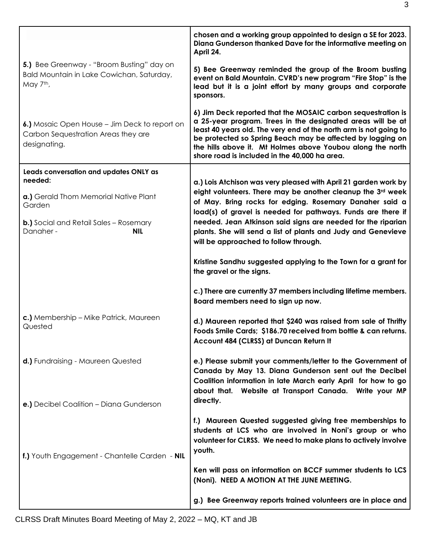|                                                                                                      | chosen and a working group appointed to design a SE for 2023.<br>Diana Gunderson thanked Dave for the informative meeting on<br>April 24.                                                                                                                                                                                                                                     |
|------------------------------------------------------------------------------------------------------|-------------------------------------------------------------------------------------------------------------------------------------------------------------------------------------------------------------------------------------------------------------------------------------------------------------------------------------------------------------------------------|
| 5.) Bee Greenway - "Broom Busting" day on<br>Bald Mountain in Lake Cowichan, Saturday,<br>May 7th,   | 5) Bee Greenway reminded the group of the Broom busting<br>event on Bald Mountain. CVRD's new program "Fire Stop" is the<br>lead but it is a joint effort by many groups and corporate<br>sponsors.                                                                                                                                                                           |
| 6.) Mosaic Open House – Jim Deck to report on<br>Carbon Sequestration Areas they are<br>designating. | 6) Jim Deck reported that the MOSAIC carbon sequestration is<br>a 25-year program. Trees in the designated areas will be at<br>least 40 years old. The very end of the north arm is not going to<br>be protected so Spring Beach may be affected by logging on<br>the hills above it. Mt Holmes above Youbou along the north<br>shore road is included in the 40,000 ha area. |
| Leads conversation and updates ONLY as<br>needed:                                                    |                                                                                                                                                                                                                                                                                                                                                                               |
| a.) Gerald Thom Memorial Native Plant<br>Garden                                                      | a.) Lois Atchison was very pleased with April 21 garden work by<br>eight volunteers. There may be another cleanup the 3rd week<br>of May. Bring rocks for edging. Rosemary Danaher said a<br>load(s) of gravel is needed for pathways. Funds are there if                                                                                                                     |
| <b>b.)</b> Social and Retail Sales – Rosemary<br>Danaher-<br><b>NIL</b>                              | needed. Jean Atkinson said signs are needed for the riparian<br>plants. She will send a list of plants and Judy and Genevieve<br>will be approached to follow through.                                                                                                                                                                                                        |
|                                                                                                      | Kristine Sandhu suggested applying to the Town for a grant for<br>the gravel or the signs.                                                                                                                                                                                                                                                                                    |
|                                                                                                      | c.) There are currently 37 members including lifetime members.<br>Board members need to sign up now.                                                                                                                                                                                                                                                                          |
| c.) Membership - Mike Patrick, Maureen<br>Quested                                                    | d.) Maureen reported that \$240 was raised from sale of Thrifty<br>Foods Smile Cards; \$186.70 received from bottle & can returns.<br>Account 484 (CLRSS) at Duncan Return It                                                                                                                                                                                                 |
| d.) Fundraising - Maureen Quested<br>e.) Decibel Coalition - Diana Gunderson                         | e.) Please submit your comments/letter to the Government of<br>Canada by May 13. Diana Gunderson sent out the Decibel<br>Coalition information in late March early April for how to go<br>about that. Website at Transport Canada. Write your MP<br>directly.                                                                                                                 |
| f.) Youth Engagement - Chantelle Carden - NIL                                                        | f.) Maureen Quested suggested giving free memberships to<br>students at LCS who are involved in Noni's group or who<br>volunteer for CLRSS. We need to make plans to actively involve<br>youth.                                                                                                                                                                               |
|                                                                                                      | Ken will pass on information on BCCF summer students to LCS<br>(Noni). NEED A MOTION AT THE JUNE MEETING.                                                                                                                                                                                                                                                                     |
|                                                                                                      | g.) Bee Greenway reports trained volunteers are in place and                                                                                                                                                                                                                                                                                                                  |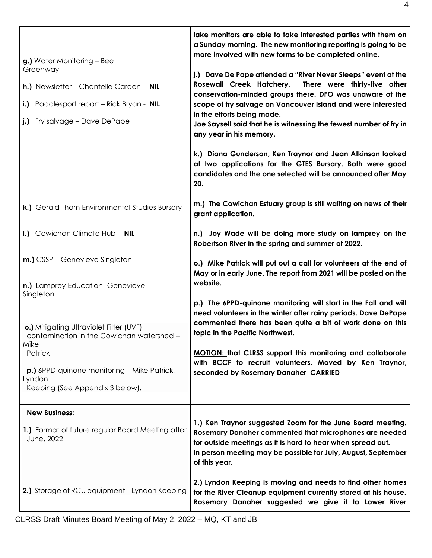| g.) Water Monitoring - Bee<br>Greenway<br>h.) Newsletter - Chantelle Carden - NIL<br>i.) Paddlesport report - Rick Bryan - NIL<br>j.) Fry salvage - Dave DePape                                                         | lake monitors are able to take interested parties with them on<br>a Sunday morning. The new monitoring reporting is going to be<br>more involved with new forms to be completed online.<br>j.) Dave De Pape attended a "River Never Sleeps" event at the<br>Rosewall Creek Hatchery.<br>There were thirty-five other<br>conservation-minded groups there. DFO was unaware of the<br>scope of fry salvage on Vancouver Island and were interested<br>in the efforts being made.<br>Joe Saysell said that he is witnessing the fewest number of fry in<br>any year in his memory.<br>k.) Diana Gunderson, Ken Traynor and Jean Atkinson looked<br>at two applications for the GTES Bursary. Both were good<br>candidates and the one selected will be announced after May<br>20. |
|-------------------------------------------------------------------------------------------------------------------------------------------------------------------------------------------------------------------------|--------------------------------------------------------------------------------------------------------------------------------------------------------------------------------------------------------------------------------------------------------------------------------------------------------------------------------------------------------------------------------------------------------------------------------------------------------------------------------------------------------------------------------------------------------------------------------------------------------------------------------------------------------------------------------------------------------------------------------------------------------------------------------|
| k.) Gerald Thom Environmental Studies Bursary                                                                                                                                                                           | m.) The Cowichan Estuary group is still waiting on news of their<br>grant application.                                                                                                                                                                                                                                                                                                                                                                                                                                                                                                                                                                                                                                                                                         |
| I.) Cowichan Climate Hub - NIL                                                                                                                                                                                          | n.) Joy Wade will be doing more study on lamprey on the<br>Robertson River in the spring and summer of 2022.                                                                                                                                                                                                                                                                                                                                                                                                                                                                                                                                                                                                                                                                   |
| m.) CSSP - Genevieve Singleton<br>n.) Lamprey Education- Genevieve                                                                                                                                                      | o.) Mike Patrick will put out a call for volunteers at the end of<br>May or in early June. The report from 2021 will be posted on the<br>website.                                                                                                                                                                                                                                                                                                                                                                                                                                                                                                                                                                                                                              |
| Singleton<br>o.) Mitigating Ultraviolet Filter (UVF)<br>contamination in the Cowichan watershed -<br>Mike<br>Patrick<br><b>p.)</b> 6PPD-quinone monitoring – Mike Patrick,<br>Lyndon<br>Keeping (See Appendix 3 below). | p.) The 6PPD-quinone monitoring will start in the Fall and will<br>need volunteers in the winter after rainy periods. Dave DePape<br>commented there has been quite a bit of work done on this<br>topic in the Pacific Northwest.<br><b>MOTION: that CLRSS support this monitoring and collaborate</b><br>with BCCF to recruit volunteers. Moved by Ken Traynor,<br>seconded by Rosemary Danaher CARRIED                                                                                                                                                                                                                                                                                                                                                                       |
| <b>New Business:</b>                                                                                                                                                                                                    |                                                                                                                                                                                                                                                                                                                                                                                                                                                                                                                                                                                                                                                                                                                                                                                |
| 1.) Format of future regular Board Meeting after<br>June, 2022                                                                                                                                                          | 1.) Ken Traynor suggested Zoom for the June Board meeting.<br>Rosemary Danaher commented that microphones are needed<br>for outside meetings as it is hard to hear when spread out.<br>In person meeting may be possible for July, August, September<br>of this year.                                                                                                                                                                                                                                                                                                                                                                                                                                                                                                          |
| 2.) Storage of RCU equipment - Lyndon Keeping                                                                                                                                                                           | 2.) Lyndon Keeping is moving and needs to find other homes<br>for the River Cleanup equipment currently stored at his house.<br>Rosemary Danaher suggested we give it to Lower River                                                                                                                                                                                                                                                                                                                                                                                                                                                                                                                                                                                           |

CLRSS Draft Minutes Board Meeting of May 2, 2022 – MQ, KT and JB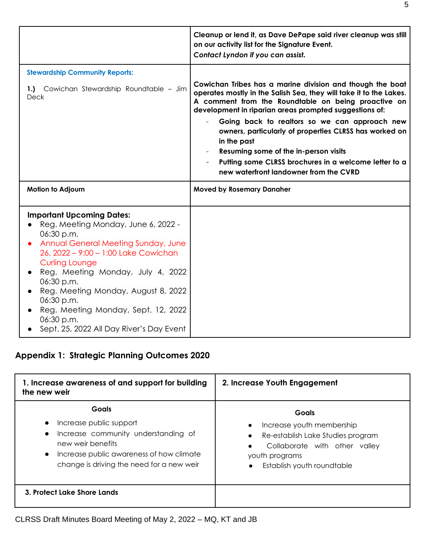|                                                                                                                                                                                                                                                                                         | Cleanup or lend it, as Dave DePape said river cleanup was still<br>on our activity list for the Signature Event.<br>Contact Lyndon if you can assist.                                                                                                                                                                                                                                                                                                                                                                  |
|-----------------------------------------------------------------------------------------------------------------------------------------------------------------------------------------------------------------------------------------------------------------------------------------|------------------------------------------------------------------------------------------------------------------------------------------------------------------------------------------------------------------------------------------------------------------------------------------------------------------------------------------------------------------------------------------------------------------------------------------------------------------------------------------------------------------------|
| <b>Stewardship Community Reports:</b><br>1.) Cowichan Stewardship Roundtable - Jim<br><b>Deck</b>                                                                                                                                                                                       | Cowichan Tribes has a marine division and though the boat<br>operates mostly in the Salish Sea, they will take it to the Lakes.<br>A comment from the Roundtable on being proactive on<br>development in riparian areas prompted suggestions of:<br>Going back to realtors so we can approach new<br>owners, particularly of properties CLRSS has worked on<br>in the past<br>Resuming some of the in-person visits<br>Putting some CLRSS brochures in a welcome letter to a<br>new waterfront landowner from the CVRD |
| <b>Motion to Adjourn</b>                                                                                                                                                                                                                                                                | <b>Moved by Rosemary Danaher</b>                                                                                                                                                                                                                                                                                                                                                                                                                                                                                       |
| <b>Important Upcoming Dates:</b><br>Reg. Meeting Monday, June 6, 2022 -<br>06:30 p.m.<br>Annual General Meeting Sunday, June<br>26, 2022 - 9:00 - 1:00 Lake Cowichan<br><b>Curling Lounge</b><br>Reg. Meeting Monday, July 4, 2022<br>06:30 p.m.<br>Reg. Meeting Monday, August 8, 2022 |                                                                                                                                                                                                                                                                                                                                                                                                                                                                                                                        |

# **Appendix 1: Strategic Planning Outcomes 2020**

| 1. Increase awareness of and support for building<br>the new weir                                                                                                                                                      | 2. Increase Youth Engagement                                                                                                                             |  |
|------------------------------------------------------------------------------------------------------------------------------------------------------------------------------------------------------------------------|----------------------------------------------------------------------------------------------------------------------------------------------------------|--|
| <b>Goals</b><br>Increase public support<br>$\bullet$<br>Increase community understanding of<br>new weir benefits<br>Increase public awareness of how climate<br>$\bullet$<br>change is driving the need for a new weir | Goals<br>Increase youth membership<br>Re-establish Lake Studies program<br>Collaborate with other valley<br>youth programs<br>Establish youth roundtable |  |
| 3. Protect Lake Shore Lands                                                                                                                                                                                            |                                                                                                                                                          |  |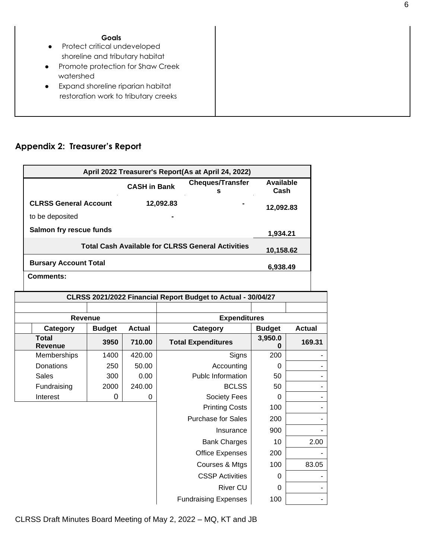| ×<br>٠<br>۹<br>×<br>ł<br>ł<br>٧ |
|---------------------------------|
|---------------------------------|

- Protect critical undeveloped shoreline and tributary habitat
- Promote protection for Shaw Creek watershed
- Expand shoreline riparian habitat restoration work to tributary creeks

## **Appendix 2: Treasurer's Report**

| April 2022 Treasurer's Report(As at April 24, 2022)                   |                     |                              |                   |  |
|-----------------------------------------------------------------------|---------------------|------------------------------|-------------------|--|
|                                                                       | <b>CASH in Bank</b> | <b>Cheques/Transfer</b><br>s | Available<br>Cash |  |
| <b>CLRSS General Account</b>                                          | 12,092.83           |                              | 12,092.83         |  |
| to be deposited                                                       |                     |                              |                   |  |
| Salmon fry rescue funds                                               |                     |                              | 1,934.21          |  |
| <b>Total Cash Available for CLRSS General Activities</b><br>10,158.62 |                     |                              |                   |  |
| <b>Bursary Account Total</b>                                          |                     |                              | 6.938.49          |  |
| Comments:                                                             |                     |                              |                   |  |

| CLRSS 2021/2022 Financial Report Budget to Actual - 30/04/27 |                |               |                             |               |               |
|--------------------------------------------------------------|----------------|---------------|-----------------------------|---------------|---------------|
|                                                              |                |               |                             |               |               |
|                                                              | <b>Revenue</b> |               | <b>Expenditures</b>         |               |               |
| Category                                                     | <b>Budget</b>  | <b>Actual</b> | Category                    | <b>Budget</b> | <b>Actual</b> |
| <b>Total</b><br>Revenue                                      | 3950           | 710.00        | <b>Total Expenditures</b>   | 3,950.0       | 169.31        |
| Memberships                                                  | 1400           | 420.00        | Signs                       | 200           |               |
| <b>Donations</b>                                             | 250            | 50.00         | Accounting                  | $\Omega$      |               |
| <b>Sales</b>                                                 | 300            | 0.00          | Publc Information           | 50            |               |
| Fundraising                                                  | 2000           | 240.00        | <b>BCLSS</b>                | 50            |               |
| Interest                                                     | 0              | 0             | Society Fees                | $\Omega$      |               |
|                                                              |                |               | <b>Printing Costs</b>       | 100           |               |
|                                                              |                |               | <b>Purchase for Sales</b>   | 200           |               |
|                                                              |                |               | Insurance                   | 900           |               |
|                                                              |                |               | <b>Bank Charges</b>         | 10            | 2.00          |
|                                                              |                |               | <b>Office Expenses</b>      | 200           |               |
|                                                              |                |               | Courses & Mtgs              | 100           | 83.05         |
|                                                              |                |               | <b>CSSP Activities</b>      | $\Omega$      |               |
|                                                              |                |               | <b>River CU</b>             | $\Omega$      |               |
|                                                              |                |               | <b>Fundraising Expenses</b> | 100           |               |

CLRSS Draft Minutes Board Meeting of May 2, 2022 – MQ, KT and JB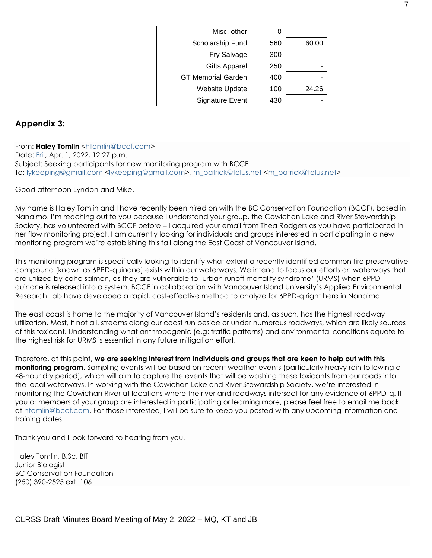| Misc. other               | 0   |       |
|---------------------------|-----|-------|
| Scholarship Fund          | 560 | 60.00 |
| Fry Salvage               | 300 |       |
| <b>Gifts Apparel</b>      | 250 |       |
| <b>GT Memorial Garden</b> | 400 |       |
| <b>Website Update</b>     | 100 | 24.26 |
| <b>Signature Event</b>    | 430 |       |

### **Appendix 3:**

From: Haley Tomlin [<htomlin@bccf.com>](mailto:htomlin@bccf.com) Date: Fri., Apr. 1, 2022, 12:27 p.m. Subject: Seeking participants for new monitoring program with BCCF To: [lykeeping@gmail.com](mailto:lykeeping@gmail.com) [<lykeeping@gmail.com>](mailto:lykeeping@gmail.com), [m\\_patrick@telus.net](mailto:m_patrick@telus.net) [<m\\_patrick@telus.net>](mailto:m_patrick@telus.net)

Good afternoon Lyndon and Mike,

My name is Haley Tomlin and I have recently been hired on with the BC Conservation Foundation (BCCF), based in Nanaimo. I'm reaching out to you because I understand your group, the Cowichan Lake and River Stewardship Society, has volunteered with BCCF before – I acquired your email from Thea Rodgers as you have participated in her flow monitoring project. I am currently looking for individuals and groups interested in participating in a new monitoring program we're establishing this fall along the East Coast of Vancouver Island.

This monitoring program is specifically looking to identify what extent a recently identified common tire preservative compound (known as 6PPD-quinone) exists within our waterways. We intend to focus our efforts on waterways that are utilized by coho salmon, as they are vulnerable to 'urban runoff mortality syndrome' (URMS) when 6PPDquinone is released into a system. BCCF in collaboration with Vancouver Island University's Applied Environmental Research Lab have developed a rapid, cost-effective method to analyze for 6PPD-q right here in Nanaimo.

The east coast is home to the majority of Vancouver Island's residents and, as such, has the highest roadway utilization. Most, if not all, streams along our coast run beside or under numerous roadways, which are likely sources of this toxicant. Understanding what anthropogenic (e.g: traffic patterns) and environmental conditions equate to the highest risk for URMS is essential in any future mitigation effort.

Therefore, at this point, **we are seeking interest from individuals and groups that are keen to help out with this monitoring program**. Sampling events will be based on recent weather events (particularly heavy rain following a 48-hour dry period), which will aim to capture the events that will be washing these toxicants from our roads into the local waterways. In working with the Cowichan Lake and River Stewardship Society, we're interested in monitoring the Cowichan River at locations where the river and roadways intersect for any evidence of 6PPD-q. If you or members of your group are interested in participating or learning more, please feel free to email me back at [htomlin@bccf.com.](mailto:htomlin@bccf.com) For those interested, I will be sure to keep you posted with any upcoming information and training dates.

Thank you and I look forward to hearing from you.

Haley Tomlin, B.Sc, BIT Junior Biologist BC Conservation Foundation (250) 390-2525 ext. 106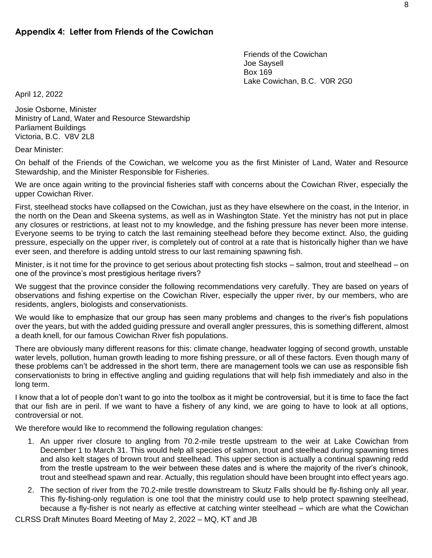Friends of the Cowichan Joe Saysell Box 169 Lake Cowichan, B.C. V0R 2G0

April 12, 2022

Josie Osborne, Minister Ministry of Land, Water and Resource Stewardship Parliament Buildings Victoria, B.C. V8V 2L8

Dear Minister:

On behalf of the Friends of the Cowichan, we welcome you as the first Minister of Land, Water and Resource Stewardship, and the Minister Responsible for Fisheries.

We are once again writing to the provincial fisheries staff with concerns about the Cowichan River, especially the upper Cowichan River.

First, steelhead stocks have collapsed on the Cowichan, just as they have elsewhere on the coast, in the Interior, in the north on the Dean and Skeena systems, as well as in Washington State. Yet the ministry has not put in place any closures or restrictions, at least not to my knowledge, and the fishing pressure has never been more intense. Everyone seems to be trying to catch the last remaining steelhead before they become extinct. Also, the guiding pressure, especially on the upper river, is completely out of control at a rate that is historically higher than we have ever seen, and therefore is adding untold stress to our last remaining spawning fish.

Minister, is it not time for the province to get serious about protecting fish stocks – salmon, trout and steelhead – on one of the province's most prestigious heritage rivers?

We suggest that the province consider the following recommendations very carefully. They are based on years of observations and fishing expertise on the Cowichan River, especially the upper river, by our members, who are residents, anglers, biologists and conservationists.

We would like to emphasize that our group has seen many problems and changes to the river's fish populations over the years, but with the added guiding pressure and overall angler pressures, this is something different, almost a death knell, for our famous Cowichan River fish populations.

There are obviously many different reasons for this: climate change, headwater logging of second growth, unstable water levels, pollution, human growth leading to more fishing pressure, or all of these factors. Even though many of these problems can't be addressed in the short term, there are management tools we can use as responsible fish conservationists to bring in effective angling and guiding regulations that will help fish immediately and also in the long term.

I know that a lot of people don't want to go into the toolbox as it might be controversial, but it is time to face the fact that our fish are in peril. If we want to have a fishery of any kind, we are going to have to look at all options, controversial or not.

We therefore would like to recommend the following regulation changes:

- 1. An upper river closure to angling from 70.2-mile trestle upstream to the weir at Lake Cowichan from December 1 to March 31. This would help all species of salmon, trout and steelhead during spawning times and also kelt stages of brown trout and steelhead. This upper section is actually a continual spawning redd from the trestle upstream to the weir between these dates and is where the majority of the river's chinook, trout and steelhead spawn and rear. Actually, this regulation should have been brought into effect years ago.
- 2. The section of river from the 70.2-mile trestle downstream to Skutz Falls should be fly-fishing only all year. This fly-fishing-only regulation is one tool that the ministry could use to help protect spawning steelhead, because a fly-fisher is not nearly as effective at catching winter steelhead – which are what the Cowichan

CLRSS Draft Minutes Board Meeting of May 2, 2022 – MQ, KT and JB